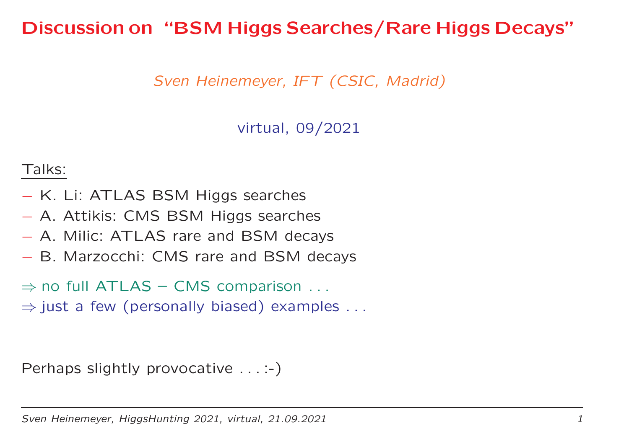### Discussion on "BSM Higgs Searches/Rare Higgs Decays"

Sven Heinemeyer, IFT (CSIC, Madrid)

virtual, 09/2021

#### Talks:

- K. Li: ATLAS BSM Higgs searches
- A. Attikis: CMS BSM Higgs searches
- A. Milic: ATLAS rare and BSM decays
- B. Marzocchi: CMS rare and BSM decays
- $\Rightarrow$  no full ATLAS CMS comparison  $\dots$ <br> $\Rightarrow$  just a fow (personally biased) examples
- $\Rightarrow$  just a few (personally biased) examples  $\dots$

Perhaps slightly provocative . . . :-)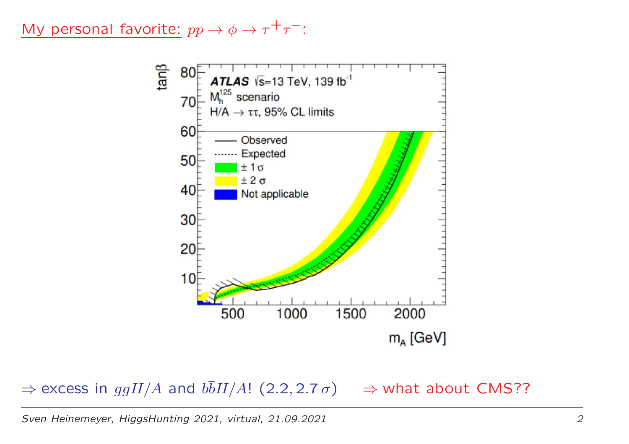My personal favorite:  $pp \rightarrow$  $\rightarrow \phi \rightarrow \tau^+ \tau^-$ :



 $\Rightarrow$  excess in  $ggH/A$  and  $b\overline{b}H/A$ ! (2.2, 2.7  $\sigma$ )  $\Rightarrow$  what about CMS??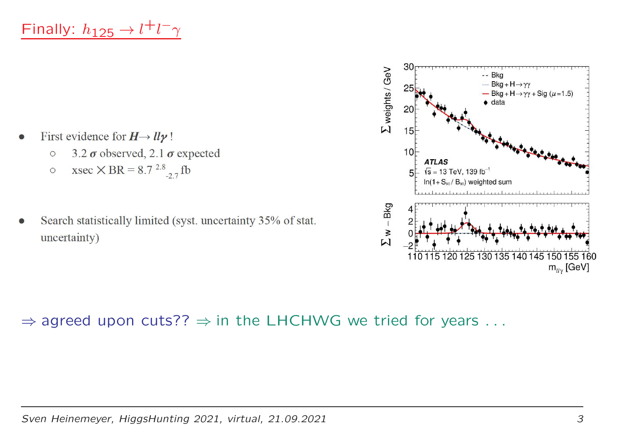- First evidence for  $H \rightarrow ll \gamma$ !  $\bullet$ 
	- 3.2  $\sigma$  observed, 2.1  $\sigma$  expected  $\circ$
	- xsec  $\times$  BR = 8.7<sup>2.8</sup><sub>-2.7</sub> fb  $\circ$
- Search statistically limited (syst. uncertainty 35% of stat. uncertainty)



 $\Rightarrow$  agreed upon cuts??  $\Rightarrow$  in the LHCHWG we tried for years  $\dots$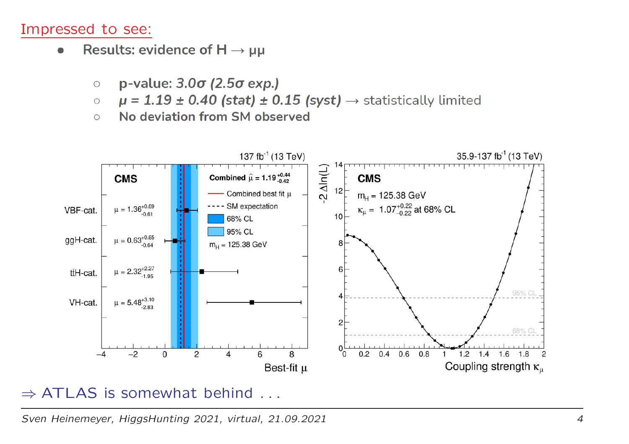#### Impressed to see:

- Results: evidence of  $H \rightarrow \mu\mu$  $\bullet$ 
	- p-value:  $3.0\sigma$  (2.5 $\sigma$  exp.)  $\circ$
	- $\mu$  = 1.19 ± 0.40 (stat) ± 0.15 (syst)  $\rightarrow$  statistically limited  $\circ$
	- No deviation from SM observed  $\circ$



# ⇒ ATLAS is somewhat behind ...

Sven Heinemeyer, HiggsHunting 2021, virtual, 21.09.2021 $\frac{1}{4}$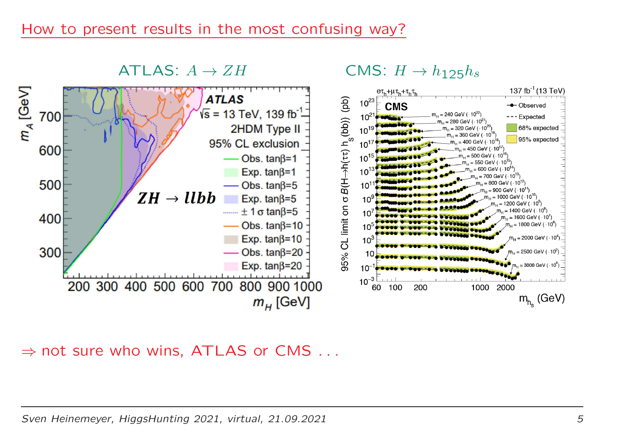#### How to present results in the most confusing way?



### $\Rightarrow$  not sure who wins, ATLAS or CMS  $\dots$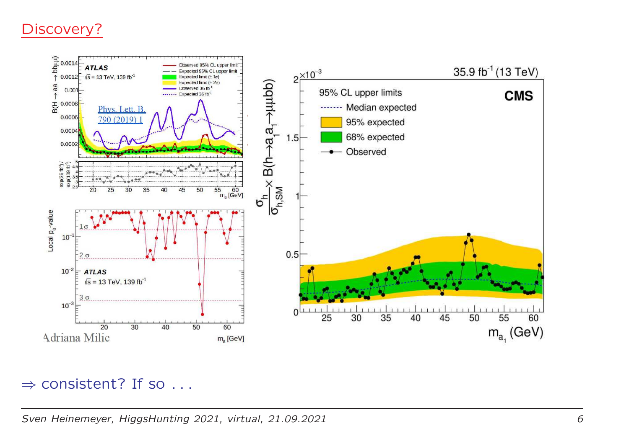### Discovery?



### $\Rightarrow$  consistent? If so  $\dots$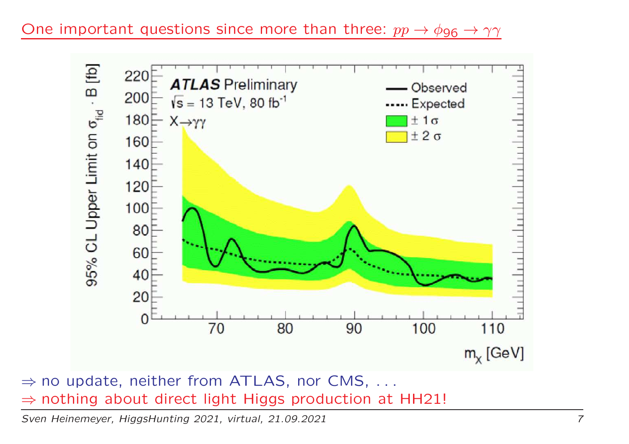One important questions since more than three:  $pp \rightarrow \phi_{96} \rightarrow \gamma \gamma$ 



⇒ no update, neither from ATLAS, nor CMS, ...<br>⇒ nothing about direct light Higgs production at F  $\Rightarrow$  nothing about direct light Higgs production at HH21!<br>Syen Heinemeyer HiggsHunting 2021, virtual 21.09.2021